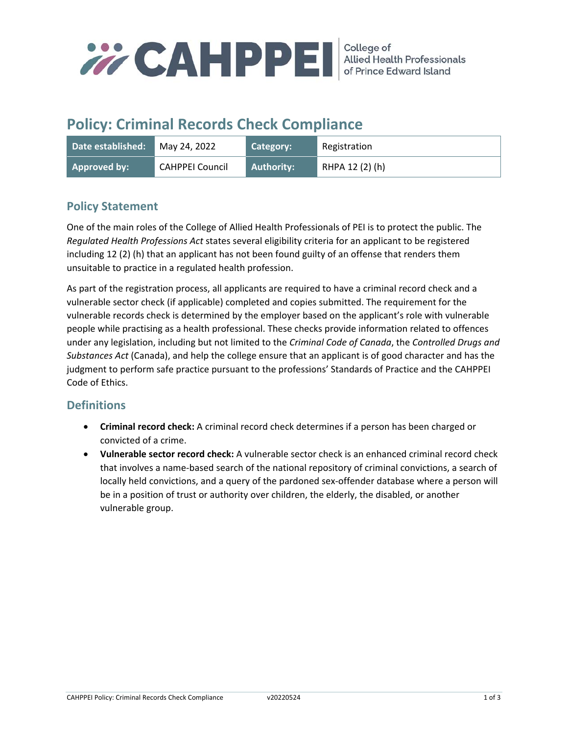

# **Policy: Criminal Records Check Compliance**

| Date established: | May 24, 2022    | Category:  | Registration    |
|-------------------|-----------------|------------|-----------------|
| Approved by:      | CAHPPEI Council | Authority: | RHPA 12 (2) (h) |

## **Policy Statement**

One of the main roles of the College of Allied Health Professionals of PEI is to protect the public. The *Regulated Health Professions Act* states several eligibility criteria for an applicant to be registered including 12 (2) (h) that an applicant has not been found guilty of an offense that renders them unsuitable to practice in a regulated health profession.

As part of the registration process, all applicants are required to have a criminal record check and a vulnerable sector check (if applicable) completed and copies submitted. The requirement for the vulnerable records check is determined by the employer based on the applicant's role with vulnerable people while practising as a health professional. These checks provide information related to offences under any legislation, including but not limited to the *Criminal Code of Canada*, the *Controlled Drugs and Substances Act* (Canada), and help the college ensure that an applicant is of good character and has the judgment to perform safe practice pursuant to the professions' Standards of Practice and the CAHPPEI Code of Ethics.

### **Definitions**

- **Criminal record check:** A criminal record check determines if a person has been charged or convicted of a crime.
- **Vulnerable sector record check:** A vulnerable sector check is an enhanced criminal record check that involves a name‐based search of the national repository of criminal convictions, a search of locally held convictions, and a query of the pardoned sex‐offender database where a person will be in a position of trust or authority over children, the elderly, the disabled, or another vulnerable group.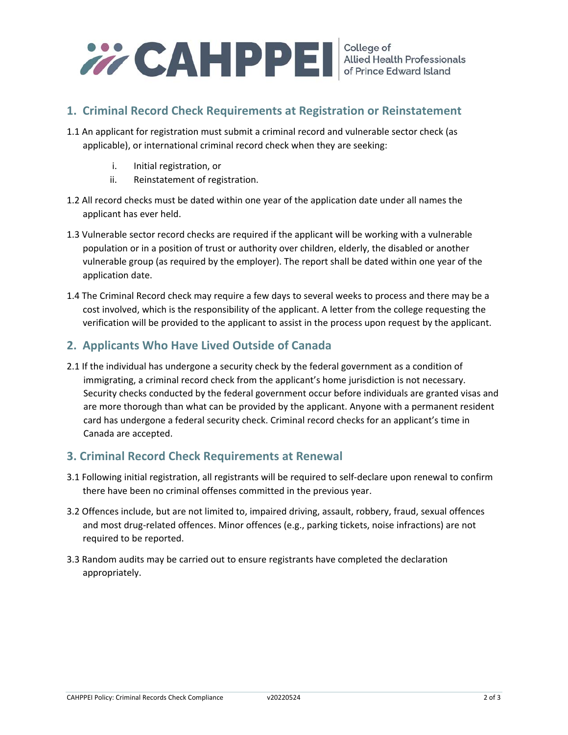

### **1. Criminal Record Check Requirements at Registration or Reinstatement**

- 1.1 An applicant for registration must submit a criminal record and vulnerable sector check (as applicable), or international criminal record check when they are seeking:
	- i. Initial registration, or
	- ii. Reinstatement of registration.
- 1.2 All record checks must be dated within one year of the application date under all names the applicant has ever held.
- 1.3 Vulnerable sector record checks are required if the applicant will be working with a vulnerable population or in a position of trust or authority over children, elderly, the disabled or another vulnerable group (as required by the employer). The report shall be dated within one year of the application date.
- 1.4 The Criminal Record check may require a few days to several weeks to process and there may be a cost involved, which is the responsibility of the applicant. A letter from the college requesting the verification will be provided to the applicant to assist in the process upon request by the applicant.

### **2. Applicants Who Have Lived Outside of Canada**

2.1 If the individual has undergone a security check by the federal government as a condition of immigrating, a criminal record check from the applicant's home jurisdiction is not necessary. Security checks conducted by the federal government occur before individuals are granted visas and are more thorough than what can be provided by the applicant. Anyone with a permanent resident card has undergone a federal security check. Criminal record checks for an applicant's time in Canada are accepted.

### **3. Criminal Record Check Requirements at Renewal**

- 3.1 Following initial registration, all registrants will be required to self‐declare upon renewal to confirm there have been no criminal offenses committed in the previous year.
- 3.2 Offences include, but are not limited to, impaired driving, assault, robbery, fraud, sexual offences and most drug-related offences. Minor offences (e.g., parking tickets, noise infractions) are not required to be reported.
- 3.3 Random audits may be carried out to ensure registrants have completed the declaration appropriately.